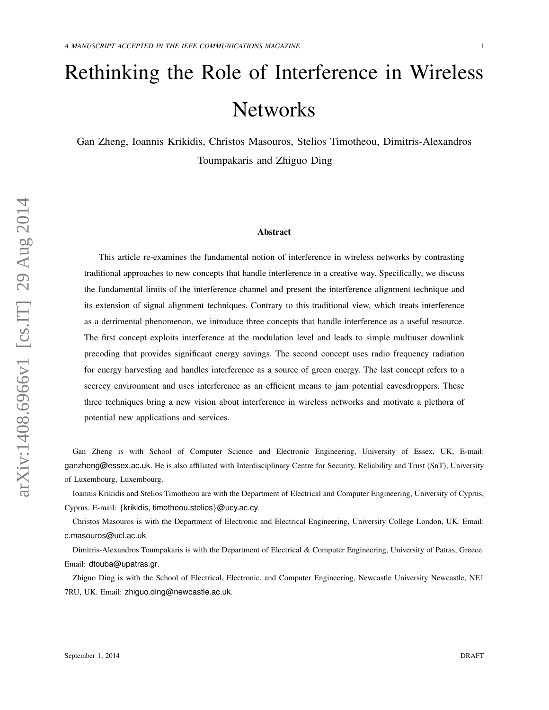# Rethinking the Role of Interference in Wireless **Networks**

Gan Zheng, Ioannis Krikidis, Christos Masouros, Stelios Timotheou, Dimitris-Alexandros Toumpakaris and Zhiguo Ding

#### Abstract

This article re-examines the fundamental notion of interference in wireless networks by contrasting traditional approaches to new concepts that handle interference in a creative way. Specifically, we discuss the fundamental limits of the interference channel and present the interference alignment technique and its extension of signal alignment techniques. Contrary to this traditional view, which treats interference as a detrimental phenomenon, we introduce three concepts that handle interference as a useful resource. The first concept exploits interference at the modulation level and leads to simple multiuser downlink precoding that provides significant energy savings. The second concept uses radio frequency radiation for energy harvesting and handles interference as a source of green energy. The last concept refers to a secrecy environment and uses interference as an efficient means to jam potential eavesdroppers. These three techniques bring a new vision about interference in wireless networks and motivate a plethora of potential new applications and services.

Gan Zheng is with School of Computer Science and Electronic Engineering, University of Essex, UK, E-mail: ganzheng@essex.ac.uk. He is also affiliated with Interdisciplinary Centre for Security, Reliability and Trust (SnT), University of Luxembourg, Luxembourg.

Ioannis Krikidis and Stelios Timotheou are with the Department of Electrical and Computer Engineering, University of Cyprus, Cyprus. E-mail: {krikidis, timotheou.stelios}@ucy.ac.cy.

Christos Masouros is with the Department of Electronic and Electrical Engineering, University College London, UK. Email: c.masouros@ucl.ac.uk.

Dimitris-Alexandros Toumpakaris is with the Department of Electrical & Computer Engineering, University of Patras, Greece. Email: dtouba@upatras.gr.

Zhiguo Ding is with the School of Electrical, Electronic, and Computer Engineering, Newcastle University Newcastle, NE1 7RU, UK. Email: zhiguo.ding@newcastle.ac.uk.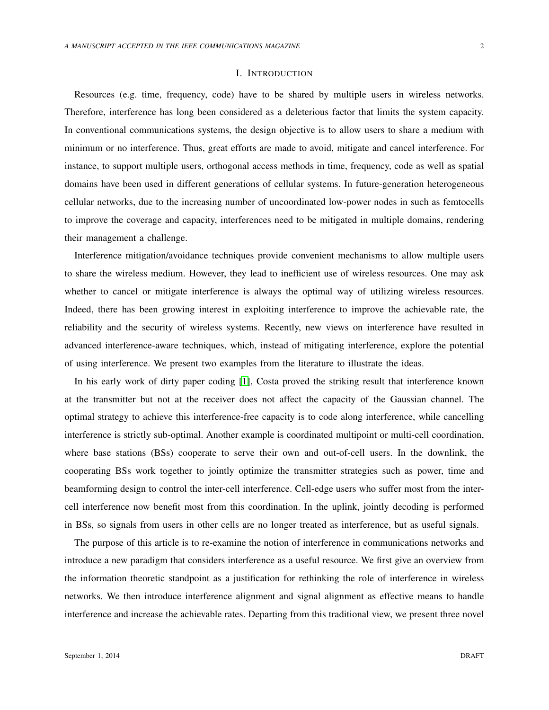### I. INTRODUCTION

Resources (e.g. time, frequency, code) have to be shared by multiple users in wireless networks. Therefore, interference has long been considered as a deleterious factor that limits the system capacity. In conventional communications systems, the design objective is to allow users to share a medium with minimum or no interference. Thus, great efforts are made to avoid, mitigate and cancel interference. For instance, to support multiple users, orthogonal access methods in time, frequency, code as well as spatial domains have been used in different generations of cellular systems. In future-generation heterogeneous cellular networks, due to the increasing number of uncoordinated low-power nodes in such as femtocells to improve the coverage and capacity, interferences need to be mitigated in multiple domains, rendering their management a challenge.

Interference mitigation/avoidance techniques provide convenient mechanisms to allow multiple users to share the wireless medium. However, they lead to inefficient use of wireless resources. One may ask whether to cancel or mitigate interference is always the optimal way of utilizing wireless resources. Indeed, there has been growing interest in exploiting interference to improve the achievable rate, the reliability and the security of wireless systems. Recently, new views on interference have resulted in advanced interference-aware techniques, which, instead of mitigating interference, explore the potential of using interference. We present two examples from the literature to illustrate the ideas.

In his early work of dirty paper coding [\[1\]](#page-12-0), Costa proved the striking result that interference known at the transmitter but not at the receiver does not affect the capacity of the Gaussian channel. The optimal strategy to achieve this interference-free capacity is to code along interference, while cancelling interference is strictly sub-optimal. Another example is coordinated multipoint or multi-cell coordination, where base stations (BSs) cooperate to serve their own and out-of-cell users. In the downlink, the cooperating BSs work together to jointly optimize the transmitter strategies such as power, time and beamforming design to control the inter-cell interference. Cell-edge users who suffer most from the intercell interference now benefit most from this coordination. In the uplink, jointly decoding is performed in BSs, so signals from users in other cells are no longer treated as interference, but as useful signals.

The purpose of this article is to re-examine the notion of interference in communications networks and introduce a new paradigm that considers interference as a useful resource. We first give an overview from the information theoretic standpoint as a justification for rethinking the role of interference in wireless networks. We then introduce interference alignment and signal alignment as effective means to handle interference and increase the achievable rates. Departing from this traditional view, we present three novel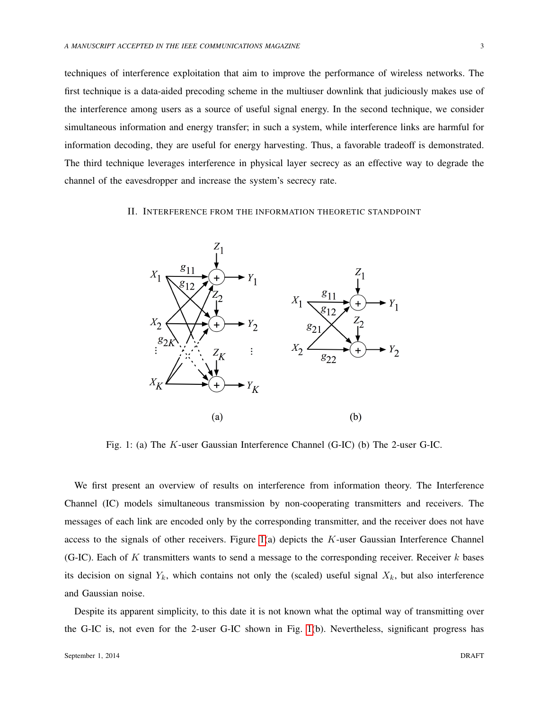techniques of interference exploitation that aim to improve the performance of wireless networks. The first technique is a data-aided precoding scheme in the multiuser downlink that judiciously makes use of the interference among users as a source of useful signal energy. In the second technique, we consider simultaneous information and energy transfer; in such a system, while interference links are harmful for information decoding, they are useful for energy harvesting. Thus, a favorable tradeoff is demonstrated. The third technique leverages interference in physical layer secrecy as an effective way to degrade the channel of the eavesdropper and increase the system's secrecy rate.

#### <span id="page-2-0"></span>II. INTERFERENCE FROM THE INFORMATION THEORETIC STANDPOINT



Fig. 1: (a) The K-user Gaussian Interference Channel (G-IC) (b) The 2-user G-IC.

We first present an overview of results on interference from information theory. The Interference Channel (IC) models simultaneous transmission by non-cooperating transmitters and receivers. The messages of each link are encoded only by the corresponding transmitter, and the receiver does not have access to the signals of other receivers. Figure  $1(a)$  depicts the K-user Gaussian Interference Channel (G-IC). Each of K transmitters wants to send a message to the corresponding receiver. Receiver  $k$  bases its decision on signal  $Y_k$ , which contains not only the (scaled) useful signal  $X_k$ , but also interference and Gaussian noise.

Despite its apparent simplicity, to this date it is not known what the optimal way of transmitting over the G-IC is, not even for the 2-user G-IC shown in Fig. [1\(](#page-2-0)b). Nevertheless, significant progress has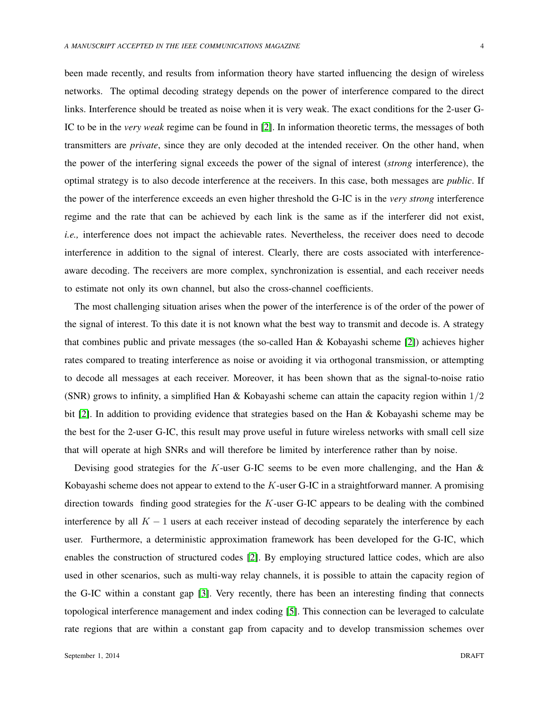been made recently, and results from information theory have started influencing the design of wireless networks. The optimal decoding strategy depends on the power of interference compared to the direct links. Interference should be treated as noise when it is very weak. The exact conditions for the 2-user G-IC to be in the *very weak* regime can be found in [\[2\]](#page-12-1). In information theoretic terms, the messages of both transmitters are *private*, since they are only decoded at the intended receiver. On the other hand, when the power of the interfering signal exceeds the power of the signal of interest (*strong* interference), the optimal strategy is to also decode interference at the receivers. In this case, both messages are *public*. If the power of the interference exceeds an even higher threshold the G-IC is in the *very strong* interference regime and the rate that can be achieved by each link is the same as if the interferer did not exist, *i.e.*, interference does not impact the achievable rates. Nevertheless, the receiver does need to decode interference in addition to the signal of interest. Clearly, there are costs associated with interferenceaware decoding. The receivers are more complex, synchronization is essential, and each receiver needs to estimate not only its own channel, but also the cross-channel coefficients.

The most challenging situation arises when the power of the interference is of the order of the power of the signal of interest. To this date it is not known what the best way to transmit and decode is. A strategy that combines public and private messages (the so-called Han & Kobayashi scheme [\[2\]](#page-12-1)) achieves higher rates compared to treating interference as noise or avoiding it via orthogonal transmission, or attempting to decode all messages at each receiver. Moreover, it has been shown that as the signal-to-noise ratio (SNR) grows to infinity, a simplified Han & Kobayashi scheme can attain the capacity region within  $1/2$ bit [\[2\]](#page-12-1). In addition to providing evidence that strategies based on the Han & Kobayashi scheme may be the best for the 2-user G-IC, this result may prove useful in future wireless networks with small cell size that will operate at high SNRs and will therefore be limited by interference rather than by noise.

Devising good strategies for the K-user G-IC seems to be even more challenging, and the Han  $\&$ Kobayashi scheme does not appear to extend to the K-user G-IC in a straightforward manner. A promising direction towards finding good strategies for the K-user G-IC appears to be dealing with the combined interference by all  $K - 1$  users at each receiver instead of decoding separately the interference by each user. Furthermore, a deterministic approximation framework has been developed for the G-IC, which enables the construction of structured codes [\[2\]](#page-12-1). By employing structured lattice codes, which are also used in other scenarios, such as multi-way relay channels, it is possible to attain the capacity region of the G-IC within a constant gap [\[3\]](#page-12-2). Very recently, there has been an interesting finding that connects topological interference management and index coding [\[5\]](#page-12-3). This connection can be leveraged to calculate rate regions that are within a constant gap from capacity and to develop transmission schemes over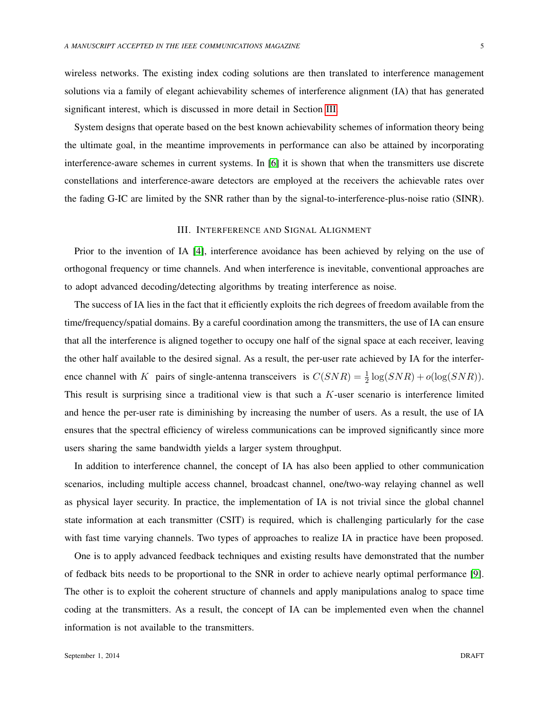wireless networks. The existing index coding solutions are then translated to interference management solutions via a family of elegant achievability schemes of interference alignment (IA) that has generated significant interest, which is discussed in more detail in Section [III.](#page-4-0)

System designs that operate based on the best known achievability schemes of information theory being the ultimate goal, in the meantime improvements in performance can also be attained by incorporating interference-aware schemes in current systems. In [\[6\]](#page-12-4) it is shown that when the transmitters use discrete constellations and interference-aware detectors are employed at the receivers the achievable rates over the fading G-IC are limited by the SNR rather than by the signal-to-interference-plus-noise ratio (SINR).

## III. INTERFERENCE AND SIGNAL ALIGNMENT

<span id="page-4-0"></span>Prior to the invention of IA [\[4\]](#page-12-5), interference avoidance has been achieved by relying on the use of orthogonal frequency or time channels. And when interference is inevitable, conventional approaches are to adopt advanced decoding/detecting algorithms by treating interference as noise.

The success of IA lies in the fact that it efficiently exploits the rich degrees of freedom available from the time/frequency/spatial domains. By a careful coordination among the transmitters, the use of IA can ensure that all the interference is aligned together to occupy one half of the signal space at each receiver, leaving the other half available to the desired signal. As a result, the per-user rate achieved by IA for the interference channel with K pairs of single-antenna transceivers is  $C(SNR) = \frac{1}{2} \log(SNR) + o(\log(SNR))$ . This result is surprising since a traditional view is that such a  $K$ -user scenario is interference limited and hence the per-user rate is diminishing by increasing the number of users. As a result, the use of IA ensures that the spectral efficiency of wireless communications can be improved significantly since more users sharing the same bandwidth yields a larger system throughput.

In addition to interference channel, the concept of IA has also been applied to other communication scenarios, including multiple access channel, broadcast channel, one/two-way relaying channel as well as physical layer security. In practice, the implementation of IA is not trivial since the global channel state information at each transmitter (CSIT) is required, which is challenging particularly for the case with fast time varying channels. Two types of approaches to realize IA in practice have been proposed.

One is to apply advanced feedback techniques and existing results have demonstrated that the number of fedback bits needs to be proportional to the SNR in order to achieve nearly optimal performance [\[9\]](#page-12-6). The other is to exploit the coherent structure of channels and apply manipulations analog to space time coding at the transmitters. As a result, the concept of IA can be implemented even when the channel information is not available to the transmitters.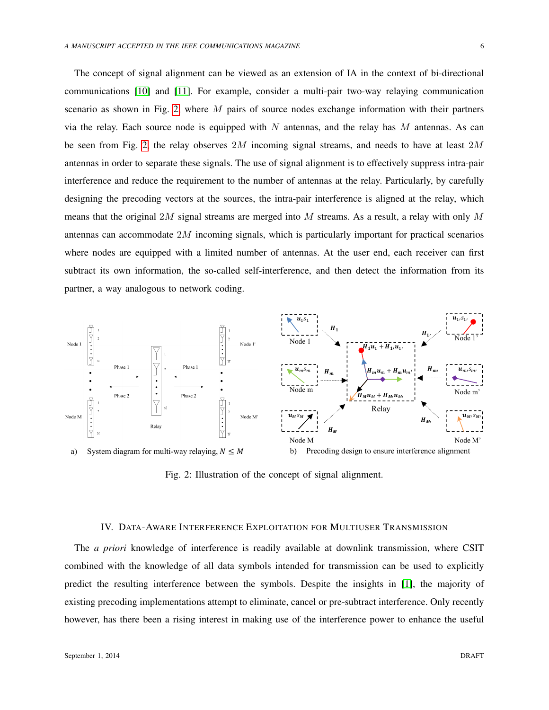The concept of signal alignment can be viewed as an extension of IA in the context of bi-directional communications [\[10\]](#page-13-0) and [\[11\]](#page-13-1). For example, consider a multi-pair two-way relaying communication scenario as shown in Fig. [2,](#page-5-0) where  $M$  pairs of source nodes exchange information with their partners via the relay. Each source node is equipped with N antennas, and the relay has  $M$  antennas. As can be seen from Fig. [2,](#page-5-0) the relay observes  $2M$  incoming signal streams, and needs to have at least  $2M$ antennas in order to separate these signals. The use of signal alignment is to effectively suppress intra-pair interference and reduce the requirement to the number of antennas at the relay. Particularly, by carefully designing the precoding vectors at the sources, the intra-pair interference is aligned at the relay, which means that the original 2M signal streams are merged into M streams. As a result, a relay with only M antennas can accommodate 2M incoming signals, which is particularly important for practical scenarios where nodes are equipped with a limited number of antennas. At the user end, each receiver can first subtract its own information, the so-called self-interference, and then detect the information from its partner, a way analogous to network coding.

<span id="page-5-0"></span>

Fig. 2: Illustration of the concept of signal alignment.

### IV. DATA-AWARE INTERFERENCE EXPLOITATION FOR MULTIUSER TRANSMISSION

The *a priori* knowledge of interference is readily available at downlink transmission, where CSIT combined with the knowledge of all data symbols intended for transmission can be used to explicitly predict the resulting interference between the symbols. Despite the insights in [\[1\]](#page-12-0), the majority of existing precoding implementations attempt to eliminate, cancel or pre-subtract interference. Only recently however, has there been a rising interest in making use of the interference power to enhance the useful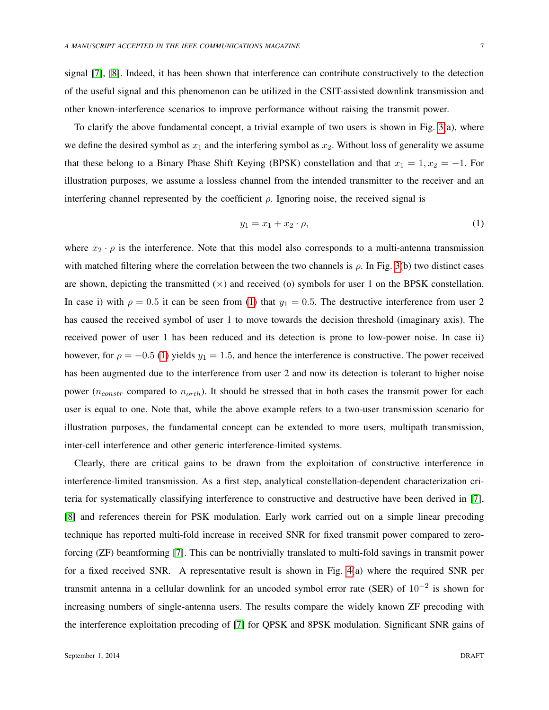signal [\[7\]](#page-12-7), [\[8\]](#page-12-8). Indeed, it has been shown that interference can contribute constructively to the detection of the useful signal and this phenomenon can be utilized in the CSIT-assisted downlink transmission and other known-interference scenarios to improve performance without raising the transmit power.

To clarify the above fundamental concept, a trivial example of two users is shown in Fig. [3\(](#page-7-0)a), where we define the desired symbol as  $x_1$  and the interfering symbol as  $x_2$ . Without loss of generality we assume that these belong to a Binary Phase Shift Keying (BPSK) constellation and that  $x_1 = 1, x_2 = -1$ . For illustration purposes, we assume a lossless channel from the intended transmitter to the receiver and an interfering channel represented by the coefficient  $\rho$ . Ignoring noise, the received signal is

<span id="page-6-0"></span>
$$
y_1 = x_1 + x_2 \cdot \rho,\tag{1}
$$

where  $x_2 \cdot \rho$  is the interference. Note that this model also corresponds to a multi-antenna transmission with matched filtering where the correlation between the two channels is  $\rho$ . In Fig. [3\(](#page-7-0)b) two distinct cases are shown, depicting the transmitted  $(\times)$  and received (o) symbols for user 1 on the BPSK constellation. In case i) with  $\rho = 0.5$  it can be seen from [\(1\)](#page-6-0) that  $y_1 = 0.5$ . The destructive interference from user 2 has caused the received symbol of user 1 to move towards the decision threshold (imaginary axis). The received power of user 1 has been reduced and its detection is prone to low-power noise. In case ii) however, for  $\rho = -0.5$  [\(1\)](#page-6-0) yields  $y_1 = 1.5$ , and hence the interference is constructive. The power received has been augmented due to the interference from user 2 and now its detection is tolerant to higher noise power ( $n_{constr}$  compared to  $n_{orth}$ ). It should be stressed that in both cases the transmit power for each user is equal to one. Note that, while the above example refers to a two-user transmission scenario for illustration purposes, the fundamental concept can be extended to more users, multipath transmission, inter-cell interference and other generic interference-limited systems.

Clearly, there are critical gains to be drawn from the exploitation of constructive interference in interference-limited transmission. As a first step, analytical constellation-dependent characterization criteria for systematically classifying interference to constructive and destructive have been derived in [\[7\]](#page-12-7), [\[8\]](#page-12-8) and references therein for PSK modulation. Early work carried out on a simple linear precoding technique has reported multi-fold increase in received SNR for fixed transmit power compared to zeroforcing (ZF) beamforming [\[7\]](#page-12-7). This can be nontrivially translated to multi-fold savings in transmit power for a fixed received SNR. A representative result is shown in Fig. [4\(](#page-8-0)a) where the required SNR per transmit antenna in a cellular downlink for an uncoded symbol error rate (SER) of 10−<sup>2</sup> is shown for increasing numbers of single-antenna users. The results compare the widely known ZF precoding with the interference exploitation precoding of [\[7\]](#page-12-7) for QPSK and 8PSK modulation. Significant SNR gains of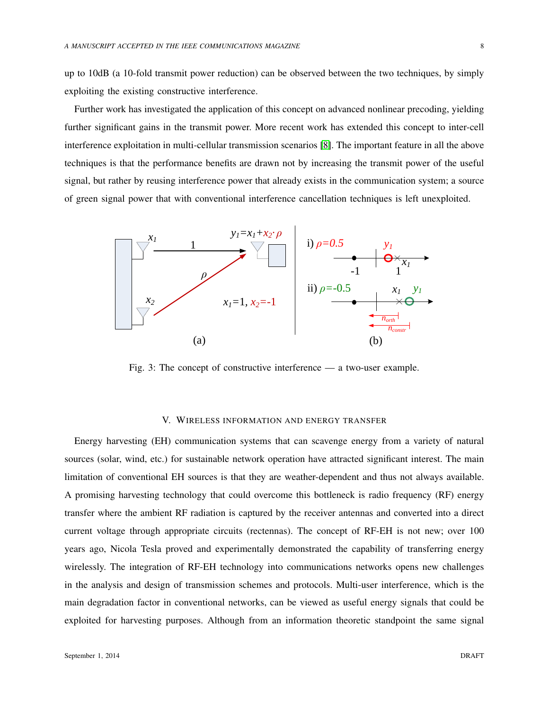up to 10dB (a 10-fold transmit power reduction) can be observed between the two techniques, by simply exploiting the existing constructive interference.

Further work has investigated the application of this concept on advanced nonlinear precoding, yielding further significant gains in the transmit power. More recent work has extended this concept to inter-cell interference exploitation in multi-cellular transmission scenarios [\[8\]](#page-12-8). The important feature in all the above techniques is that the performance benefits are drawn not by increasing the transmit power of the useful signal, but rather by reusing interference power that already exists in the communication system; a source of green signal power that with conventional interference cancellation techniques is left unexploited.

<span id="page-7-0"></span>

Fig. 3: The concept of constructive interference — a two-user example.

## V. WIRELESS INFORMATION AND ENERGY TRANSFER

Energy harvesting (EH) communication systems that can scavenge energy from a variety of natural sources (solar, wind, etc.) for sustainable network operation have attracted significant interest. The main limitation of conventional EH sources is that they are weather-dependent and thus not always available. A promising harvesting technology that could overcome this bottleneck is radio frequency (RF) energy transfer where the ambient RF radiation is captured by the receiver antennas and converted into a direct current voltage through appropriate circuits (rectennas). The concept of RF-EH is not new; over 100 years ago, Nicola Tesla proved and experimentally demonstrated the capability of transferring energy wirelessly. The integration of RF-EH technology into communications networks opens new challenges in the analysis and design of transmission schemes and protocols. Multi-user interference, which is the main degradation factor in conventional networks, can be viewed as useful energy signals that could be exploited for harvesting purposes. Although from an information theoretic standpoint the same signal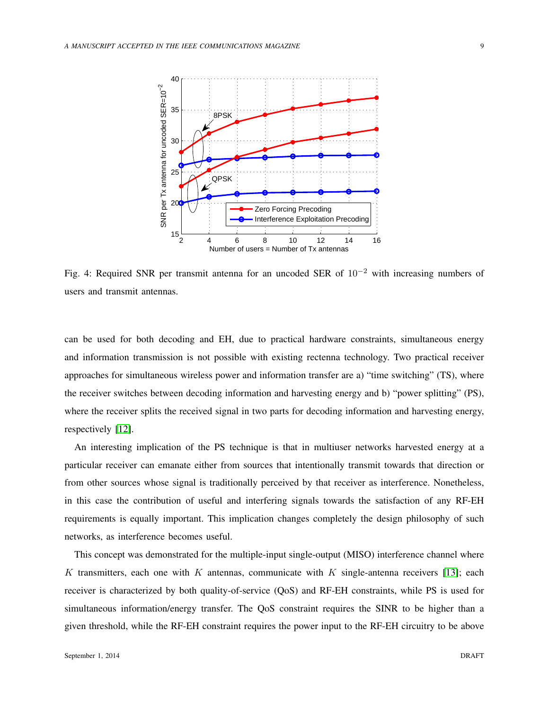<span id="page-8-0"></span>

Fig. 4: Required SNR per transmit antenna for an uncoded SER of  $10^{-2}$  with increasing numbers of users and transmit antennas.

can be used for both decoding and EH, due to practical hardware constraints, simultaneous energy and information transmission is not possible with existing rectenna technology. Two practical receiver approaches for simultaneous wireless power and information transfer are a) "time switching" (TS), where the receiver switches between decoding information and harvesting energy and b) "power splitting" (PS), where the receiver splits the received signal in two parts for decoding information and harvesting energy, respectively [\[12\]](#page-13-2).

An interesting implication of the PS technique is that in multiuser networks harvested energy at a particular receiver can emanate either from sources that intentionally transmit towards that direction or from other sources whose signal is traditionally perceived by that receiver as interference. Nonetheless, in this case the contribution of useful and interfering signals towards the satisfaction of any RF-EH requirements is equally important. This implication changes completely the design philosophy of such networks, as interference becomes useful.

This concept was demonstrated for the multiple-input single-output (MISO) interference channel where K transmitters, each one with K antennas, communicate with K single-antenna receivers [\[13\]](#page-13-3); each receiver is characterized by both quality-of-service (QoS) and RF-EH constraints, while PS is used for simultaneous information/energy transfer. The QoS constraint requires the SINR to be higher than a given threshold, while the RF-EH constraint requires the power input to the RF-EH circuitry to be above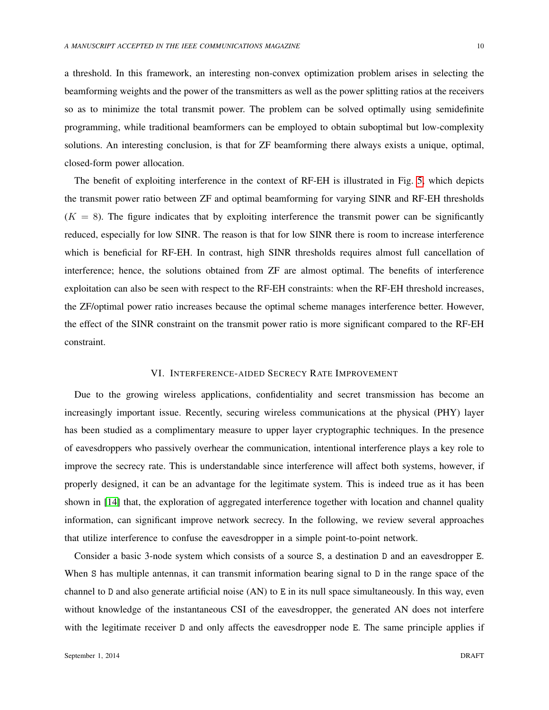a threshold. In this framework, an interesting non-convex optimization problem arises in selecting the beamforming weights and the power of the transmitters as well as the power splitting ratios at the receivers so as to minimize the total transmit power. The problem can be solved optimally using semidefinite programming, while traditional beamformers can be employed to obtain suboptimal but low-complexity solutions. An interesting conclusion, is that for ZF beamforming there always exists a unique, optimal, closed-form power allocation.

The benefit of exploiting interference in the context of RF-EH is illustrated in Fig. [5,](#page-10-0) which depicts the transmit power ratio between ZF and optimal beamforming for varying SINR and RF-EH thresholds  $(K = 8)$ . The figure indicates that by exploiting interference the transmit power can be significantly reduced, especially for low SINR. The reason is that for low SINR there is room to increase interference which is beneficial for RF-EH. In contrast, high SINR thresholds requires almost full cancellation of interference; hence, the solutions obtained from ZF are almost optimal. The benefits of interference exploitation can also be seen with respect to the RF-EH constraints: when the RF-EH threshold increases, the ZF/optimal power ratio increases because the optimal scheme manages interference better. However, the effect of the SINR constraint on the transmit power ratio is more significant compared to the RF-EH constraint.

#### VI. INTERFERENCE-AIDED SECRECY RATE IMPROVEMENT

Due to the growing wireless applications, confidentiality and secret transmission has become an increasingly important issue. Recently, securing wireless communications at the physical (PHY) layer has been studied as a complimentary measure to upper layer cryptographic techniques. In the presence of eavesdroppers who passively overhear the communication, intentional interference plays a key role to improve the secrecy rate. This is understandable since interference will affect both systems, however, if properly designed, it can be an advantage for the legitimate system. This is indeed true as it has been shown in [\[14\]](#page-13-4) that, the exploration of aggregated interference together with location and channel quality information, can significant improve network secrecy. In the following, we review several approaches that utilize interference to confuse the eavesdropper in a simple point-to-point network.

Consider a basic 3-node system which consists of a source S, a destination D and an eavesdropper E. When S has multiple antennas, it can transmit information bearing signal to D in the range space of the channel to D and also generate artificial noise (AN) to E in its null space simultaneously. In this way, even without knowledge of the instantaneous CSI of the eavesdropper, the generated AN does not interfere with the legitimate receiver D and only affects the eavesdropper node E. The same principle applies if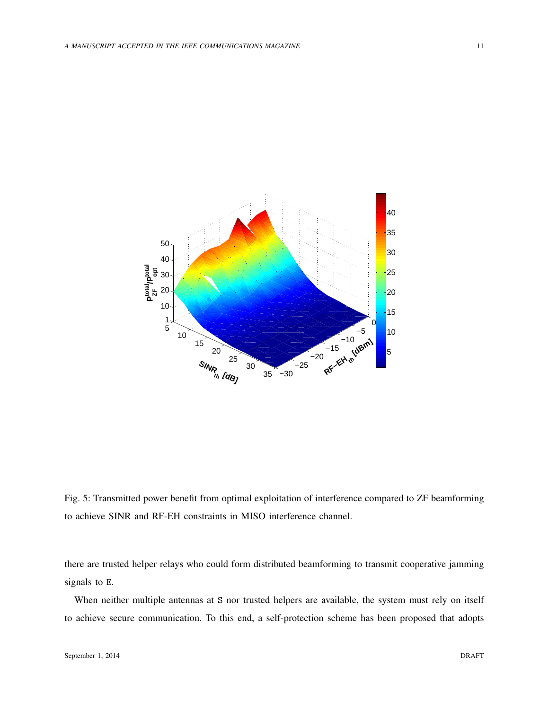<span id="page-10-0"></span>

Fig. 5: Transmitted power benefit from optimal exploitation of interference compared to ZF beamforming to achieve SINR and RF-EH constraints in MISO interference channel.

there are trusted helper relays who could form distributed beamforming to transmit cooperative jamming signals to E.

When neither multiple antennas at S nor trusted helpers are available, the system must rely on itself to achieve secure communication. To this end, a self-protection scheme has been proposed that adopts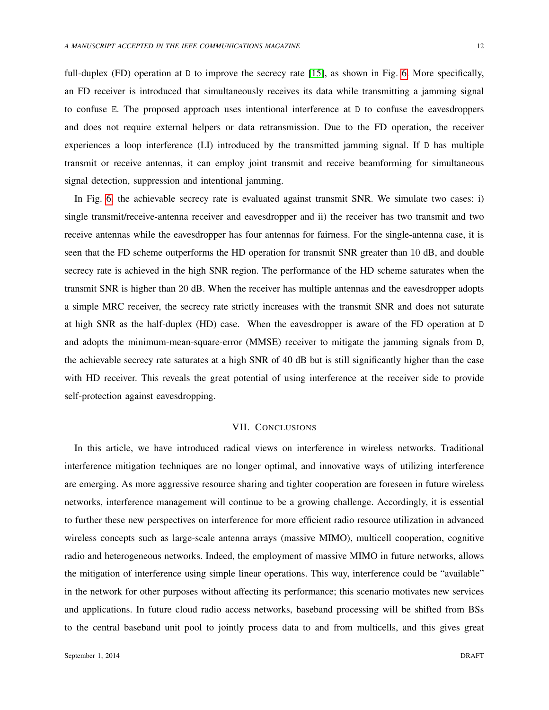full-duplex (FD) operation at D to improve the secrecy rate [\[15\]](#page-13-5), as shown in Fig. [6.](#page-12-9) More specifically, an FD receiver is introduced that simultaneously receives its data while transmitting a jamming signal to confuse E. The proposed approach uses intentional interference at D to confuse the eavesdroppers and does not require external helpers or data retransmission. Due to the FD operation, the receiver experiences a loop interference (LI) introduced by the transmitted jamming signal. If D has multiple transmit or receive antennas, it can employ joint transmit and receive beamforming for simultaneous signal detection, suppression and intentional jamming.

In Fig. [6,](#page-12-9) the achievable secrecy rate is evaluated against transmit SNR. We simulate two cases: i) single transmit/receive-antenna receiver and eavesdropper and ii) the receiver has two transmit and two receive antennas while the eavesdropper has four antennas for fairness. For the single-antenna case, it is seen that the FD scheme outperforms the HD operation for transmit SNR greater than 10 dB, and double secrecy rate is achieved in the high SNR region. The performance of the HD scheme saturates when the transmit SNR is higher than 20 dB. When the receiver has multiple antennas and the eavesdropper adopts a simple MRC receiver, the secrecy rate strictly increases with the transmit SNR and does not saturate at high SNR as the half-duplex (HD) case. When the eavesdropper is aware of the FD operation at D and adopts the minimum-mean-square-error (MMSE) receiver to mitigate the jamming signals from D, the achievable secrecy rate saturates at a high SNR of 40 dB but is still significantly higher than the case with HD receiver. This reveals the great potential of using interference at the receiver side to provide self-protection against eavesdropping.

## VII. CONCLUSIONS

In this article, we have introduced radical views on interference in wireless networks. Traditional interference mitigation techniques are no longer optimal, and innovative ways of utilizing interference are emerging. As more aggressive resource sharing and tighter cooperation are foreseen in future wireless networks, interference management will continue to be a growing challenge. Accordingly, it is essential to further these new perspectives on interference for more efficient radio resource utilization in advanced wireless concepts such as large-scale antenna arrays (massive MIMO), multicell cooperation, cognitive radio and heterogeneous networks. Indeed, the employment of massive MIMO in future networks, allows the mitigation of interference using simple linear operations. This way, interference could be "available" in the network for other purposes without affecting its performance; this scenario motivates new services and applications. In future cloud radio access networks, baseband processing will be shifted from BSs to the central baseband unit pool to jointly process data to and from multicells, and this gives great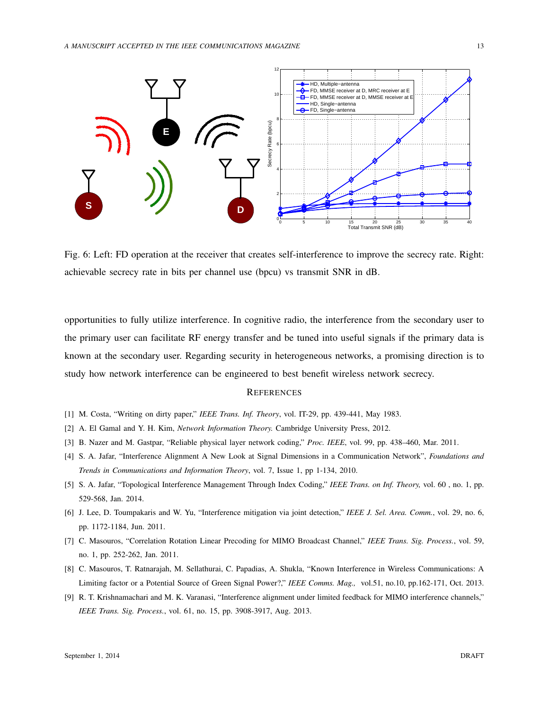<span id="page-12-9"></span>

Fig. 6: Left: FD operation at the receiver that creates self-interference to improve the secrecy rate. Right: achievable secrecy rate in bits per channel use (bpcu) vs transmit SNR in dB.

opportunities to fully utilize interference. In cognitive radio, the interference from the secondary user to the primary user can facilitate RF energy transfer and be tuned into useful signals if the primary data is known at the secondary user. Regarding security in heterogeneous networks, a promising direction is to study how network interference can be engineered to best benefit wireless network secrecy.

#### **REFERENCES**

- <span id="page-12-0"></span>[1] M. Costa, "Writing on dirty paper," *IEEE Trans. Inf. Theory*, vol. IT-29, pp. 439-441, May 1983.
- <span id="page-12-1"></span>[2] A. El Gamal and Y. H. Kim, *Network Information Theory.* Cambridge University Press, 2012.
- <span id="page-12-2"></span>[3] B. Nazer and M. Gastpar, "Reliable physical layer network coding," *Proc. IEEE*, vol. 99, pp. 438–460, Mar. 2011.
- <span id="page-12-5"></span>[4] S. A. Jafar, "Interference Alignment A New Look at Signal Dimensions in a Communication Network", *Foundations and Trends in Communications and Information Theory*, vol. 7, Issue 1, pp 1-134, 2010.
- <span id="page-12-3"></span>[5] S. A. Jafar, "Topological Interference Management Through Index Coding," *IEEE Trans. on Inf. Theory,* vol. 60 , no. 1, pp. 529-568, Jan. 2014.
- <span id="page-12-4"></span>[6] J. Lee, D. Toumpakaris and W. Yu, "Interference mitigation via joint detection," *IEEE J. Sel. Area. Comm.*, vol. 29, no. 6, pp. 1172-1184, Jun. 2011.
- <span id="page-12-7"></span>[7] C. Masouros, "Correlation Rotation Linear Precoding for MIMO Broadcast Channel," *IEEE Trans. Sig. Process.*, vol. 59, no. 1, pp. 252-262, Jan. 2011.
- <span id="page-12-8"></span>[8] C. Masouros, T. Ratnarajah, M. Sellathurai, C. Papadias, A. Shukla, "Known Interference in Wireless Communications: A Limiting factor or a Potential Source of Green Signal Power?," *IEEE Comms. Mag.,* vol.51, no.10, pp.162-171, Oct. 2013.
- <span id="page-12-6"></span>[9] R. T. Krishnamachari and M. K. Varanasi, "Interference alignment under limited feedback for MIMO interference channels," *IEEE Trans. Sig. Process.*, vol. 61, no. 15, pp. 3908-3917, Aug. 2013.